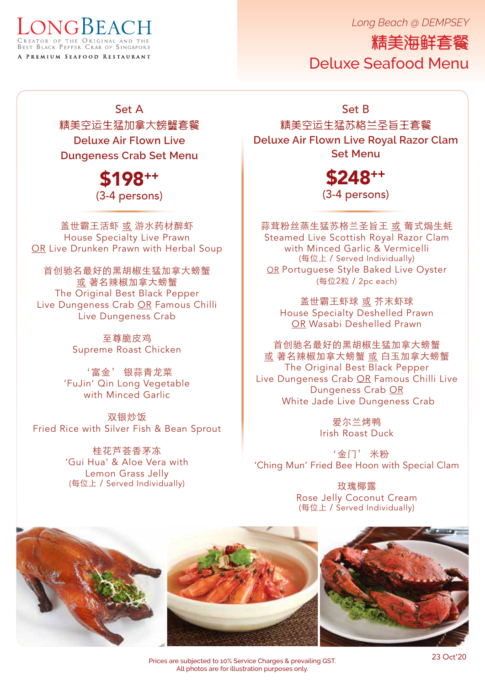*Long Beach @ DEMPSEY*



精美海鲜套餐 Deluxe Seafood Menu

Set A 精美空运生猛加拿大螃蟹套餐 **Deluxe Air Flown Live Dungeness Crab Set Menu**

> \$198++ (3-4 persons)

盖世霸王活虾 或 游水药材醉虾 House Specialty Live Prawn OR Live Drunken Prawn with Herbal Soup

首创驰名最好的黑胡椒生猛加拿大螃蟹 或 著名辣椒加拿大螃蟹 The Original Best Black Pepper Live Dungeness Crab OR Famous Chilli Live Dungeness Crab

> 至尊脆皮鸡 Supreme Roast Chicken

'富金' 银蒜青龙菜 'FuJin' Qin Long Vegetable with Minced Garlic

双银炒饭 Fried Rice with Silver Fish & Bean Sprout

> 桂花芦荟香茅冻 'Gui Hua' & Aloe Vera with Lemon Grass Jelly (每位上 / Served Individually)

Set B

精美空运生猛苏格兰圣旨王套餐 **Deluxe Air Flown Live Royal Razor Clam Set Menu**

\$248++

(3-4 persons)

蒜茸粉丝蒸生猛苏格兰圣旨王 或 葡式焗生蚝 Steamed Live Scottish Royal Razor Clam with Minced Garlic & Vermicelli (每位上 / Served Individually) OR Portuguese Style Baked Live Oyster (每位2粒 / 2pc each)

盖世霸王虾球 或 芥末虾球 House Specialty Deshelled Prawn OR Wasabi Deshelled Prawn

首创驰名最好的黑胡椒生猛加拿大螃蟹 或 著名辣椒加拿大螃蟹 或 白玉加拿大螃蟹 The Original Best Black Pepper Live Dungeness Crab OR Famous Chilli Live Dungeness Crab OR White Jade Live Dungeness Crab

> 爱尔兰烤鸭 Irish Roast Duck

'金门' 米粉 'Ching Mun' Fried Bee Hoon with Special Clam

> 玫瑰椰露 Rose Jelly Coconut Cream (每位上 / Served Individually)



Prices are subjected to 10% Service Charges & prevailing GST. All photos are for illustration purposes only.

23 Oct'20